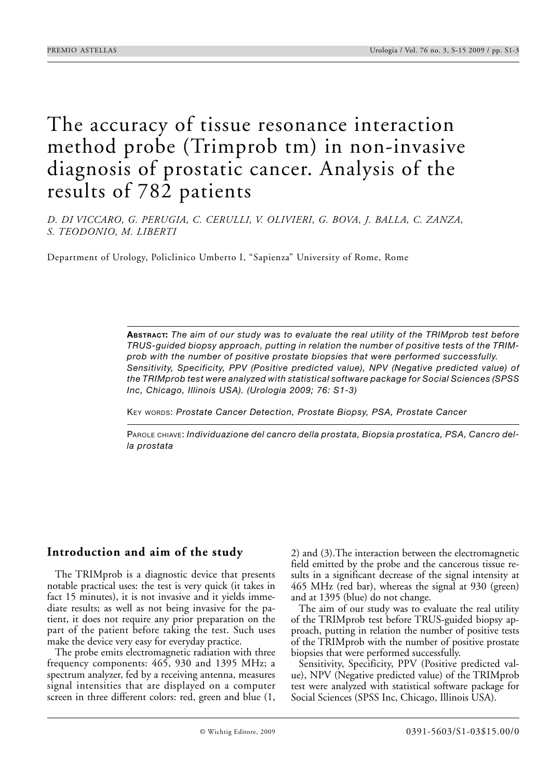# The accuracy of tissue resonance interaction method probe (Trimprob tm) in non-invasive diagnosis of prostatic cancer. Analysis of the results of 782 patients

*D. DI VICCARO, G. PERUGIA, C. CERULLI, V. OLIVIERI, G. BOVA, J. BALLA, C. ZANZA, S. TEODONIO, M. LIBERTI*

Department of Urology, Policlinico Umberto I, "Sapienza" University of Rome, Rome

**ABSTRACT:** *The aim of our study was to evaluate the real utility of the TRIMprob test before TRUS-guided biopsy approach, putting in relation the number of positive tests of the TRIMprob with the number of positive prostate biopsies that were performed successfully. Sensitivity, Specificity, PPV (Positive predicted value), NPV (Negative predicted value) of the TRIMprob test were analyzed with statistical software package for Social Sciences (SPSS Inc, Chicago, Illinois USA). (Urologia 2009; 76: S1-3)*

KEY WORDS: *Prostate Cancer Detection, Prostate Biopsy, PSA, Prostate Cancer*

PAROLE CHIAVE: *Individuazione del cancro della prostata, Biopsia prostatica, PSA, Cancro della prostata*

#### **Introduction and aim of the study**

The TRIMprob is a diagnostic device that presents notable practical uses: the test is very quick (it takes in fact 15 minutes), it is not invasive and it yields immediate results; as well as not being invasive for the patient, it does not require any prior preparation on the part of the patient before taking the test. Such uses make the device very easy for everyday practice.

The probe emits electromagnetic radiation with three frequency components: 465, 930 and 1395 MHz; a spectrum analyzer, fed by a receiving antenna, measures signal intensities that are displayed on a computer screen in three different colors: red, green and blue (1,

2) and (3).The interaction between the electromagnetic field emitted by the probe and the cancerous tissue results in a significant decrease of the signal intensity at 465 MHz (red bar), whereas the signal at 930 (green) and at 1395 (blue) do not change.

The aim of our study was to evaluate the real utility of the TRIMprob test before TRUS-guided biopsy approach, putting in relation the number of positive tests of the TRIMprob with the number of positive prostate biopsies that were performed successfully.

Sensitivity, Specificity, PPV (Positive predicted value), NPV (Negative predicted value) of the TRIMprob test were analyzed with statistical software package for Social Sciences (SPSS Inc, Chicago, Illinois USA).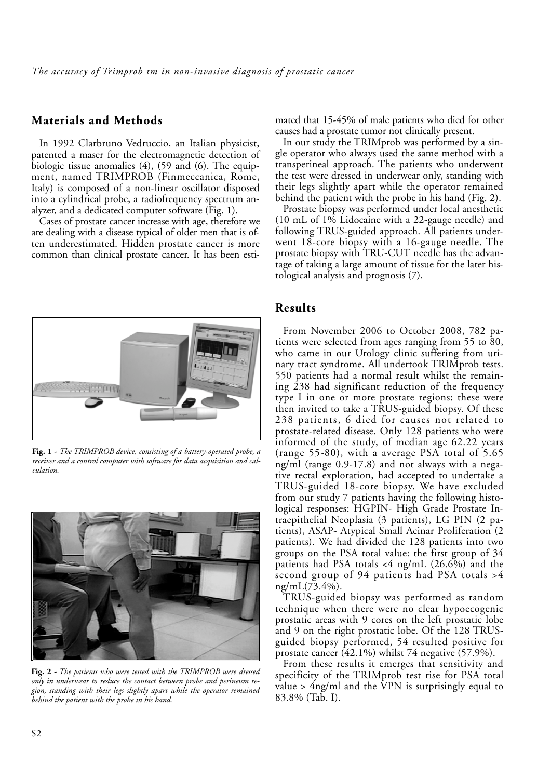## **Materials and Methods**

In 1992 Clarbruno Vedruccio, an Italian physicist, patented a maser for the electromagnetic detection of biologic tissue anomalies (4), (59 and (6). The equipment, named TRIMPROB (Finmeccanica, Rome, Italy) is composed of a non-linear oscillator disposed into a cylindrical probe, a radiofrequency spectrum analyzer, and a dedicated computer software (Fig. 1).

Cases of prostate cancer increase with age, therefore we are dealing with a disease typical of older men that is often underestimated. Hidden prostate cancer is more common than clinical prostate cancer. It has been esti-



**Fig. 1 -** *The TRIMPROB device, consisting of a battery-operated probe, a receiver and a control computer with software for data acquisition and calculation.*



**Fig. 2 -** *The patients who were tested with the TRIMPROB were dressed only in underwear to reduce the contact between probe and perineum region, standing with their legs slightly apart while the operator remained behind the patient with the probe in his hand.*

mated that 15-45% of male patients who died for other causes had a prostate tumor not clinically present.

In our study the TRIMprob was performed by a single operator who always used the same method with a transperineal approach. The patients who underwent the test were dressed in underwear only, standing with their legs slightly apart while the operator remained behind the patient with the probe in his hand (Fig. 2).

Prostate biopsy was performed under local anesthetic (10 mL of 1% Lidocaine with a 22-gauge needle) and following TRUS-guided approach. All patients underwent 18-core biopsy with a 16-gauge needle. The prostate biopsy with TRU-CUT needle has the advantage of taking a large amount of tissue for the later histological analysis and prognosis (7).

#### **Results**

From November 2006 to October 2008, 782 patients were selected from ages ranging from 55 to 80, who came in our Urology clinic suffering from urinary tract syndrome. All undertook TRIMprob tests. 550 patients had a normal result whilst the remaining 238 had significant reduction of the frequency type I in one or more prostate regions; these were then invited to take a TRUS-guided biopsy. Of these 238 patients, 6 died for causes not related to prostate-related disease. Only 128 patients who were informed of the study, of median age 62.22 years (range 55-80), with a average PSA total of 5.65 ng/ml (range 0.9-17.8) and not always with a negative rectal exploration, had accepted to undertake a TRUS-guided 18-core biopsy. We have excluded from our study 7 patients having the following histological responses: HGPIN- High Grade Prostate Intraepithelial Neoplasia (3 patients), LG PIN (2 patients), ASAP- Atypical Small Acinar Proliferation (2 patients). We had divided the 128 patients into two groups on the PSA total value: the first group of 34 patients had PSA totals <4 ng/mL (26.6%) and the second group of 94 patients had PSA totals >4 ng/mL(73.4%).

TRUS-guided biopsy was performed as random technique when there were no clear hypoecogenic prostatic areas with 9 cores on the left prostatic lobe and 9 on the right prostatic lobe. Of the 128 TRUSguided biopsy performed, 54 resulted positive for prostate cancer  $(42.1\%)$  whilst 74 negative  $(57.9\%).$ 

From these results it emerges that sensitivity and specificity of the TRIMprob test rise for PSA total value > 4ng/ml and the VPN is surprisingly equal to 83.8% (Tab. I).